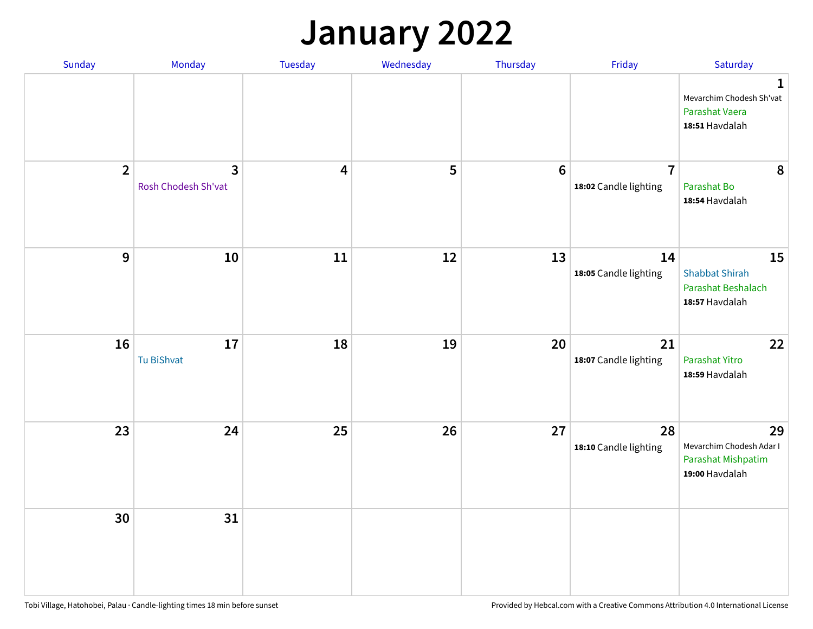## **January 2022**

| Sunday         | Monday                              | Tuesday                 | Wednesday | Thursday         | Friday                                  | Saturday                                                                     |
|----------------|-------------------------------------|-------------------------|-----------|------------------|-----------------------------------------|------------------------------------------------------------------------------|
|                |                                     |                         |           |                  |                                         | $\mathbf{1}$<br>Mevarchim Chodesh Sh'vat<br>Parashat Vaera<br>18:51 Havdalah |
| $\overline{2}$ | $\mathbf{3}$<br>Rosh Chodesh Sh'vat | $\overline{\mathbf{4}}$ | 5         | $\boldsymbol{6}$ | $\overline{7}$<br>18:02 Candle lighting | 8<br>Parashat Bo<br>18:54 Havdalah                                           |
| $\mathbf{9}$   | 10                                  | 11                      | 12        | 13               | 14<br>18:05 Candle lighting             | 15<br><b>Shabbat Shirah</b><br>Parashat Beshalach<br>18:57 Havdalah          |
| 16             | 17<br>Tu BiShvat                    | 18                      | 19        | 20               | 21<br>18:07 Candle lighting             | 22<br>Parashat Yitro<br>18:59 Havdalah                                       |
| 23             | 24                                  | 25                      | 26        | 27               | 28<br>18:10 Candle lighting             | 29<br>Mevarchim Chodesh Adar I<br>Parashat Mishpatim<br>19:00 Havdalah       |
| 30             | 31                                  |                         |           |                  |                                         |                                                                              |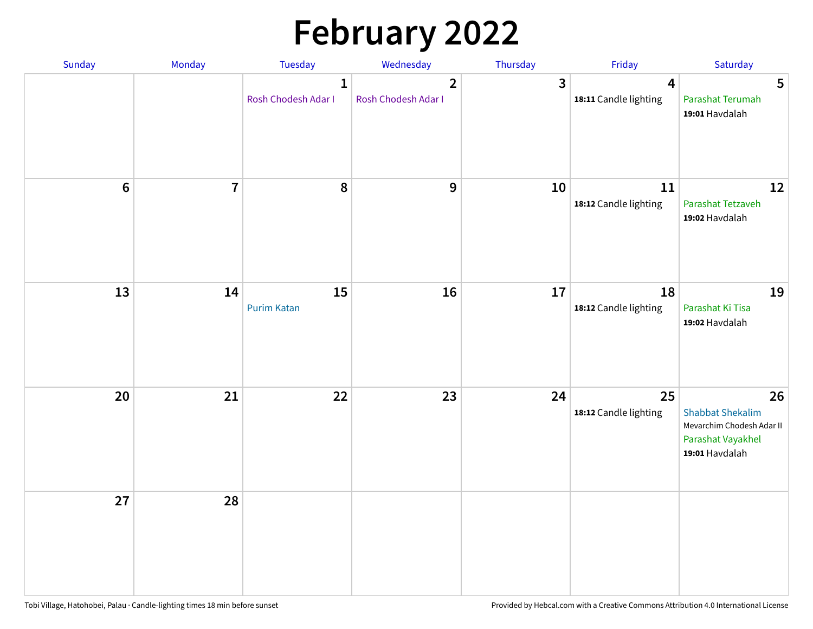# **February 2022**

| Sunday | Monday                  | <b>Tuesday</b>                      | Wednesday                                      | Thursday | Friday                                           | Saturday                                                                                          |
|--------|-------------------------|-------------------------------------|------------------------------------------------|----------|--------------------------------------------------|---------------------------------------------------------------------------------------------------|
|        |                         | $\mathbf{1}$<br>Rosh Chodesh Adar I | $\overline{\mathbf{2}}$<br>Rosh Chodesh Adar I | 3        | $\overline{\mathbf{4}}$<br>18:11 Candle lighting | 5<br>Parashat Terumah<br>19:01 Havdalah                                                           |
| $6\,$  | $\overline{\mathbf{7}}$ | 8                                   | 9                                              | 10       | 11<br>18:12 Candle lighting                      | 12<br>Parashat Tetzaveh<br>19:02 Havdalah                                                         |
| 13     | 14                      | 15<br><b>Purim Katan</b>            | 16                                             | 17       | 18<br>18:12 Candle lighting                      | 19<br>Parashat Ki Tisa<br>19:02 Havdalah                                                          |
| 20     | 21                      | 22                                  | 23                                             | 24       | 25<br>18:12 Candle lighting                      | 26<br><b>Shabbat Shekalim</b><br>Mevarchim Chodesh Adar II<br>Parashat Vayakhel<br>19:01 Havdalah |
| 27     | 28                      |                                     |                                                |          |                                                  |                                                                                                   |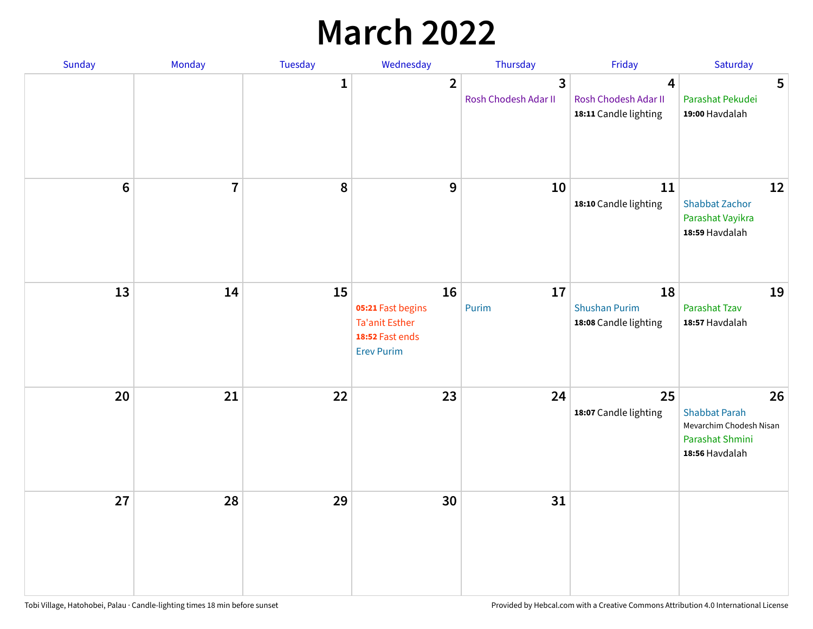## **March 2022**

| Sunday         | Monday         | Tuesday      | Wednesday                                                                                | Thursday                  | Friday                                              | Saturday                                                                                   |
|----------------|----------------|--------------|------------------------------------------------------------------------------------------|---------------------------|-----------------------------------------------------|--------------------------------------------------------------------------------------------|
|                |                | $\mathbf{1}$ | $\overline{2}$                                                                           | 3<br>Rosh Chodesh Adar II | 4<br>Rosh Chodesh Adar II<br>18:11 Candle lighting  | 5<br>Parashat Pekudei<br>19:00 Havdalah                                                    |
| $6\phantom{1}$ | $\overline{7}$ | 8            | $9$                                                                                      | 10                        | 11<br>18:10 Candle lighting                         | 12<br><b>Shabbat Zachor</b><br>Parashat Vayikra<br>18:59 Havdalah                          |
| 13             | 14             | 15           | 16<br>05:21 Fast begins<br><b>Ta'anit Esther</b><br>18:52 Fast ends<br><b>Erev Purim</b> | 17<br>Purim               | 18<br><b>Shushan Purim</b><br>18:08 Candle lighting | 19<br>Parashat Tzav<br>18:57 Havdalah                                                      |
| 20             | 21             | 22           | 23                                                                                       | 24                        | 25<br>18:07 Candle lighting                         | 26<br><b>Shabbat Parah</b><br>Mevarchim Chodesh Nisan<br>Parashat Shmini<br>18:56 Havdalah |
| 27             | 28             | 29           | 30                                                                                       | 31                        |                                                     |                                                                                            |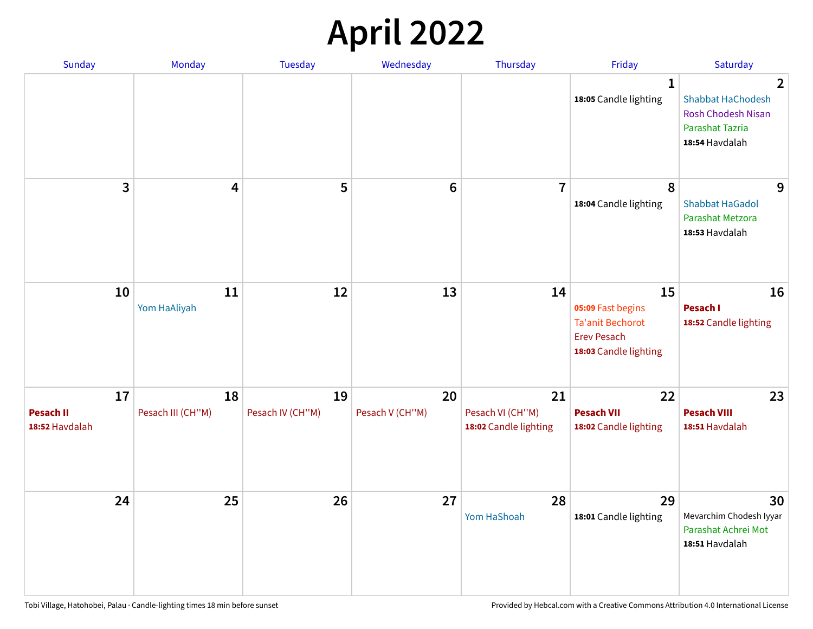## **April 2022**

| Sunday                                   | Monday                  | <b>Tuesday</b>         | Wednesday             | Thursday                                        | Friday                                                                                            | Saturday                                                                                                                     |
|------------------------------------------|-------------------------|------------------------|-----------------------|-------------------------------------------------|---------------------------------------------------------------------------------------------------|------------------------------------------------------------------------------------------------------------------------------|
|                                          |                         |                        |                       |                                                 | $\mathbf 1$<br>18:05 Candle lighting                                                              | $\overline{\mathbf{2}}$<br><b>Shabbat HaChodesh</b><br><b>Rosh Chodesh Nisan</b><br><b>Parashat Tazria</b><br>18:54 Havdalah |
| 3                                        | $\overline{\mathbf{4}}$ | 5                      | $6\phantom{1}6$       | $\overline{7}$                                  | 8<br>18:04 Candle lighting                                                                        | 9<br><b>Shabbat HaGadol</b><br>Parashat Metzora<br>18:53 Havdalah                                                            |
| 10                                       | 11<br>Yom HaAliyah      | 12                     | 13                    | 14                                              | 15<br>05:09 Fast begins<br><b>Ta'anit Bechorot</b><br><b>Erev Pesach</b><br>18:03 Candle lighting | 16<br>Pesach I<br>18:52 Candle lighting                                                                                      |
| 17<br><b>Pesach II</b><br>18:52 Havdalah | 18<br>Pesach III (CH"M) | 19<br>Pesach IV (CH"M) | 20<br>Pesach V (CH"M) | 21<br>Pesach VI (CH"M)<br>18:02 Candle lighting | 22<br><b>Pesach VII</b><br>18:02 Candle lighting                                                  | 23<br><b>Pesach VIII</b><br>18:51 Havdalah                                                                                   |
| 24                                       | 25                      | 26                     | 27                    | 28<br>Yom HaShoah                               | 29<br>18:01 Candle lighting                                                                       | 30<br>Mevarchim Chodesh Iyyar<br>Parashat Achrei Mot<br>18:51 Havdalah                                                       |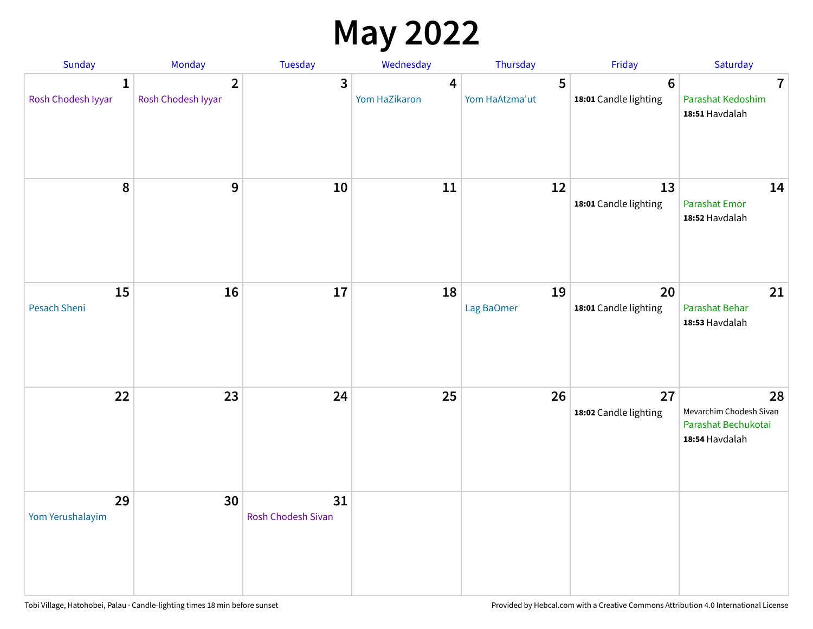## **May 2022**

| Sunday                  | Monday                               | Tuesday                         | Wednesday          | Thursday            | Friday                                  | Saturday                                                               |
|-------------------------|--------------------------------------|---------------------------------|--------------------|---------------------|-----------------------------------------|------------------------------------------------------------------------|
| 1<br>Rosh Chodesh Iyyar | $\overline{2}$<br>Rosh Chodesh Iyyar | 3                               | 4<br>Yom HaZikaron | 5<br>Yom HaAtzma'ut | $6\phantom{1}$<br>18:01 Candle lighting | $\overline{7}$<br>Parashat Kedoshim<br>18:51 Havdalah                  |
| $\pmb{8}$               | $\mathbf{9}$                         | 10                              | 11                 | 12                  | 13<br>18:01 Candle lighting             | 14<br><b>Parashat Emor</b><br>18:52 Havdalah                           |
| 15<br>Pesach Sheni      | 16                                   | 17                              | 18                 | 19<br>Lag BaOmer    | 20<br>18:01 Candle lighting             | 21<br>Parashat Behar<br>18:53 Havdalah                                 |
| 22                      | 23                                   | 24                              | 25                 | 26                  | 27<br>18:02 Candle lighting             | 28<br>Mevarchim Chodesh Sivan<br>Parashat Bechukotai<br>18:54 Havdalah |
| 29<br>Yom Yerushalayim  | 30                                   | 31<br><b>Rosh Chodesh Sivan</b> |                    |                     |                                         |                                                                        |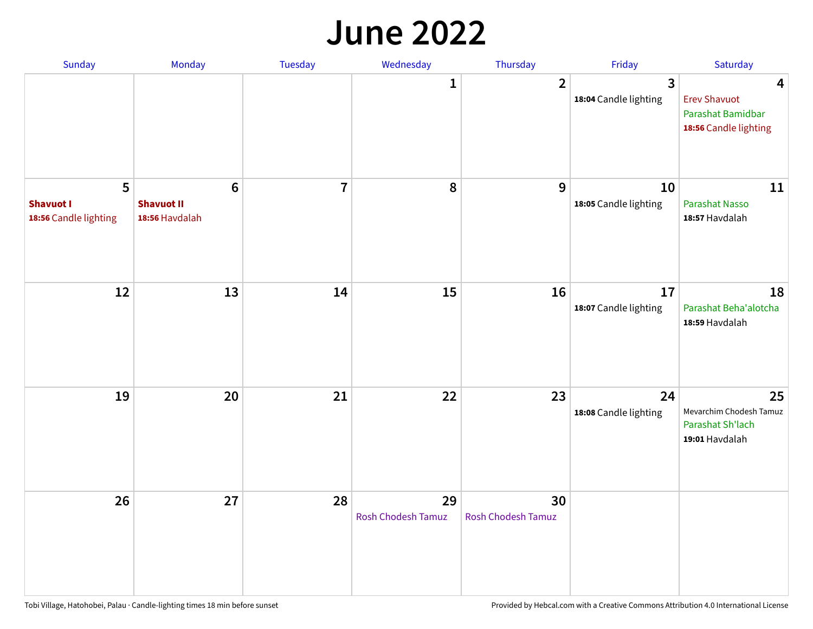#### **June 2022**

| Sunday                                         | Monday                                                 | Tuesday        | Wednesday                       | Thursday                        | Friday                      | Saturday                                                               |
|------------------------------------------------|--------------------------------------------------------|----------------|---------------------------------|---------------------------------|-----------------------------|------------------------------------------------------------------------|
|                                                |                                                        |                | 1                               | $\overline{2}$                  | 3<br>18:04 Candle lighting  | 4<br><b>Erev Shavuot</b><br>Parashat Bamidbar<br>18:56 Candle lighting |
| 5<br><b>Shavuot I</b><br>18:56 Candle lighting | $6\phantom{1}6$<br><b>Shavuot II</b><br>18:56 Havdalah | $\overline{7}$ | 8                               | 9                               | 10<br>18:05 Candle lighting | 11<br><b>Parashat Nasso</b><br>18:57 Havdalah                          |
| 12                                             | 13                                                     | 14             | 15                              | 16                              | 17<br>18:07 Candle lighting | 18<br>Parashat Beha'alotcha<br>18:59 Havdalah                          |
| 19                                             | 20                                                     | 21             | 22                              | 23                              | 24<br>18:08 Candle lighting | 25<br>Mevarchim Chodesh Tamuz<br>Parashat Sh'lach<br>19:01 Havdalah    |
| 26                                             | 27                                                     | 28             | 29<br><b>Rosh Chodesh Tamuz</b> | 30<br><b>Rosh Chodesh Tamuz</b> |                             |                                                                        |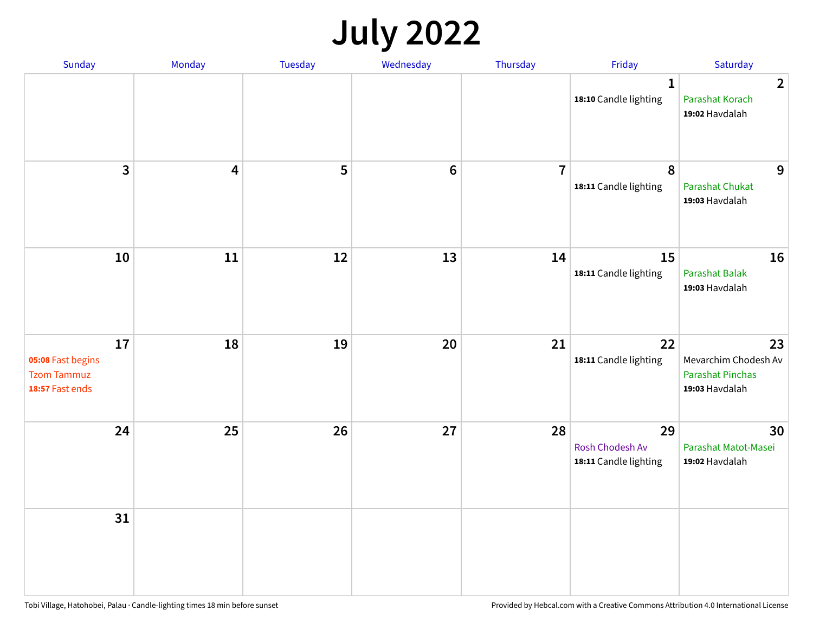## **July 2022**

| Sunday                                                           | Monday                  | Tuesday | Wednesday | Thursday       | Friday                                         | Saturday                                                                |
|------------------------------------------------------------------|-------------------------|---------|-----------|----------------|------------------------------------------------|-------------------------------------------------------------------------|
|                                                                  |                         |         |           |                | $\mathbf{1}$<br>18:10 Candle lighting          | $\overline{2}$<br>Parashat Korach<br>19:02 Havdalah                     |
| $\mathbf{3}$                                                     | $\overline{\mathbf{4}}$ | 5       | $\bf 6$   | $\overline{7}$ | $\pmb{8}$<br>18:11 Candle lighting             | 9<br>Parashat Chukat<br>19:03 Havdalah                                  |
| 10                                                               | 11                      | 12      | 13        | 14             | 15<br>18:11 Candle lighting                    | 16<br><b>Parashat Balak</b><br>19:03 Havdalah                           |
| 17<br>05:08 Fast begins<br><b>Tzom Tammuz</b><br>18:57 Fast ends | 18                      | 19      | 20        | 21             | 22<br>18:11 Candle lighting                    | 23<br>Mevarchim Chodesh Av<br><b>Parashat Pinchas</b><br>19:03 Havdalah |
| 24                                                               | 25                      | 26      | 27        | 28             | 29<br>Rosh Chodesh Av<br>18:11 Candle lighting | 30<br>Parashat Matot-Masei<br>19:02 Havdalah                            |
| 31                                                               |                         |         |           |                |                                                |                                                                         |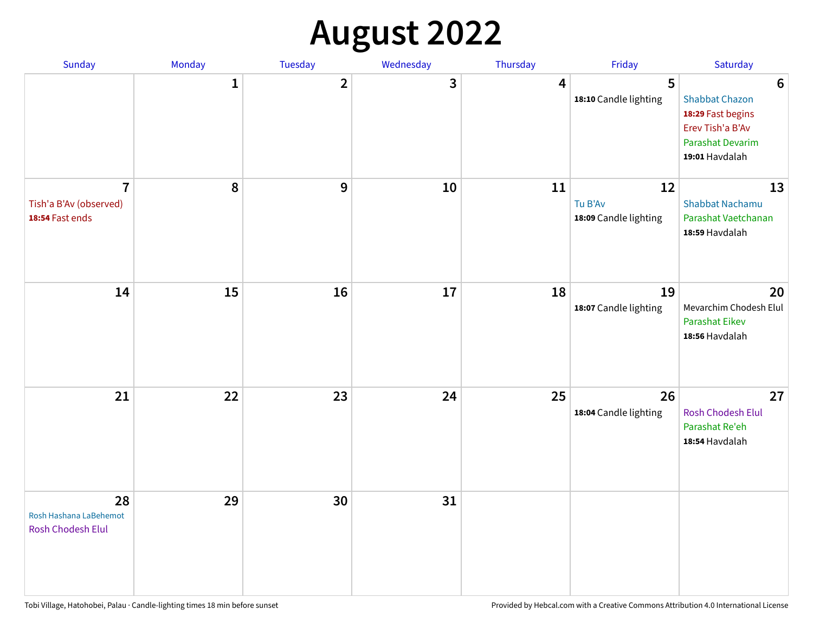## **August 2022**

| Sunday                                                      | Monday       | Tuesday      | Wednesday | Thursday | Friday                                 | Saturday                                                                                                                       |
|-------------------------------------------------------------|--------------|--------------|-----------|----------|----------------------------------------|--------------------------------------------------------------------------------------------------------------------------------|
|                                                             | $\mathbf{1}$ | $\mathbf{2}$ | 3         | 4        | 5<br>18:10 Candle lighting             | $6\phantom{1}6$<br><b>Shabbat Chazon</b><br>18:29 Fast begins<br>Erev Tish'a B'Av<br><b>Parashat Devarim</b><br>19:01 Havdalah |
| $\overline{7}$<br>Tish'a B'Av (observed)<br>18:54 Fast ends | 8            | 9            | 10        | 11       | 12<br>Tu B'Av<br>18:09 Candle lighting | 13<br><b>Shabbat Nachamu</b><br>Parashat Vaetchanan<br>18:59 Havdalah                                                          |
| 14                                                          | 15           | 16           | 17        | 18       | 19<br>18:07 Candle lighting            | 20<br>Mevarchim Chodesh Elul<br>Parashat Eikev<br>18:56 Havdalah                                                               |
| 21                                                          | 22           | 23           | 24        | 25       | 26<br>18:04 Candle lighting            | 27<br>Rosh Chodesh Elul<br>Parashat Re'eh<br>18:54 Havdalah                                                                    |
| 28<br>Rosh Hashana LaBehemot<br>Rosh Chodesh Elul           | 29           | 30           | 31        |          |                                        |                                                                                                                                |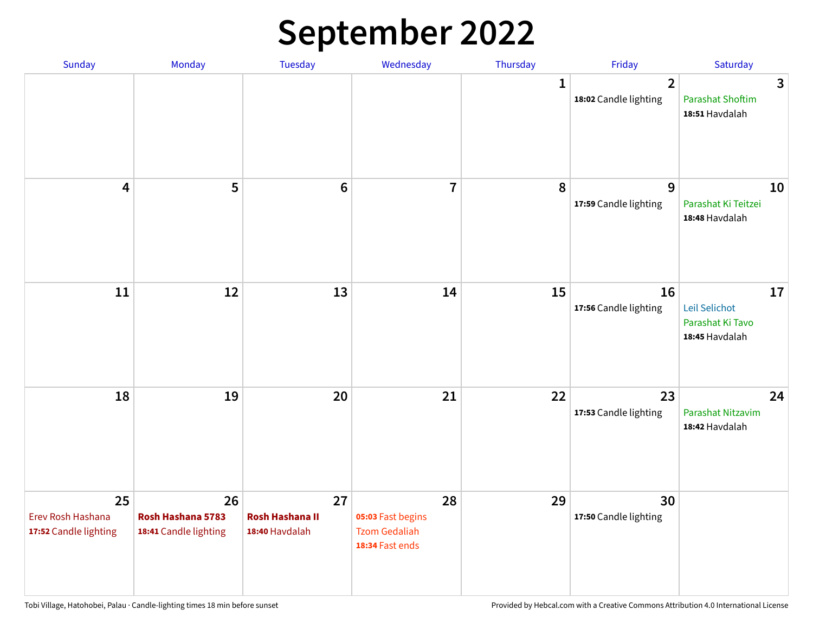## **September 2022**

| Sunday                                           | Monday                                           | Tuesday                                        | Wednesday                                                          | Thursday     | Friday                                  | Saturday                                                  |
|--------------------------------------------------|--------------------------------------------------|------------------------------------------------|--------------------------------------------------------------------|--------------|-----------------------------------------|-----------------------------------------------------------|
|                                                  |                                                  |                                                |                                                                    | $\mathbf{1}$ | $\overline{2}$<br>18:02 Candle lighting | 3<br><b>Parashat Shoftim</b><br>18:51 Havdalah            |
| $\overline{\mathbf{4}}$                          | 5                                                | $6\phantom{1}6$                                | $\overline{7}$                                                     | 8            | 9<br>17:59 Candle lighting              | 10<br>Parashat Ki Teitzei<br>18:48 Havdalah               |
| $11\,$                                           | 12                                               | 13                                             | 14                                                                 | 15           | 16<br>17:56 Candle lighting             | 17<br>Leil Selichot<br>Parashat Ki Tavo<br>18:45 Havdalah |
| 18                                               | 19                                               | 20                                             | 21                                                                 | 22           | 23<br>17:53 Candle lighting             | 24<br>Parashat Nitzavim<br>18:42 Havdalah                 |
| 25<br>Erev Rosh Hashana<br>17:52 Candle lighting | 26<br>Rosh Hashana 5783<br>18:41 Candle lighting | 27<br><b>Rosh Hashana II</b><br>18:40 Havdalah | 28<br>05:03 Fast begins<br><b>Tzom Gedaliah</b><br>18:34 Fast ends | 29           | 30<br>17:50 Candle lighting             |                                                           |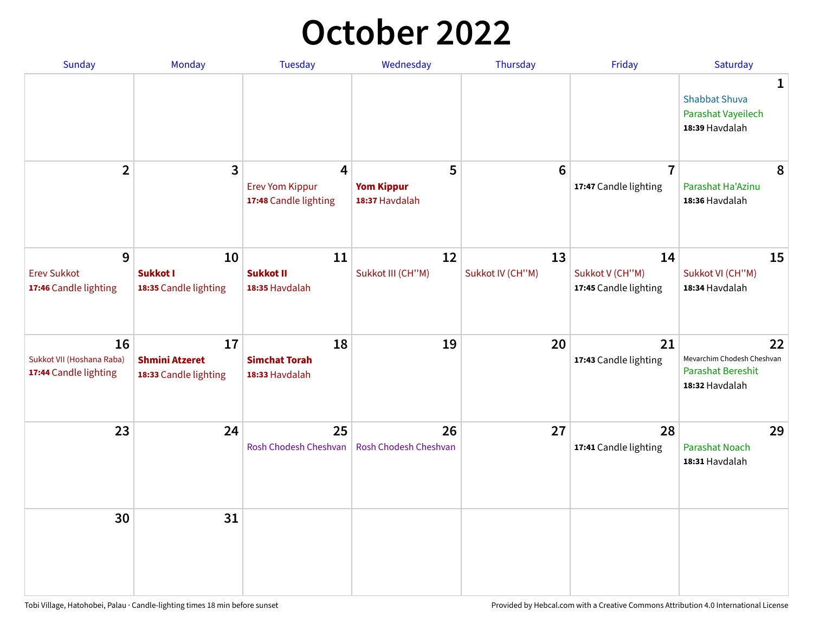## **October 2022**

| Sunday                                                   | Monday                                               | <b>Tuesday</b>                                                    | Wednesday                                | Thursday               | Friday                                         | Saturday                                                                       |
|----------------------------------------------------------|------------------------------------------------------|-------------------------------------------------------------------|------------------------------------------|------------------------|------------------------------------------------|--------------------------------------------------------------------------------|
|                                                          |                                                      |                                                                   |                                          |                        |                                                | $\mathbf 1$<br><b>Shabbat Shuva</b><br>Parashat Vayeilech<br>18:39 Havdalah    |
| $\overline{2}$                                           | $\mathbf{3}$                                         | $\overline{4}$<br><b>Erev Yom Kippur</b><br>17:48 Candle lighting | 5<br><b>Yom Kippur</b><br>18:37 Havdalah | 6                      | $\overline{7}$<br>17:47 Candle lighting        | 8<br>Parashat Ha'Azinu<br>18:36 Havdalah                                       |
| 9<br><b>Erev Sukkot</b><br>17:46 Candle lighting         | 10<br><b>Sukkot I</b><br>18:35 Candle lighting       | 11<br><b>Sukkot II</b><br>18:35 Havdalah                          | 12<br>Sukkot III (CH"M)                  | 13<br>Sukkot IV (CH"M) | 14<br>Sukkot V (CH"M)<br>17:45 Candle lighting | 15<br>Sukkot VI (CH"M)<br>18:34 Havdalah                                       |
| 16<br>Sukkot VII (Hoshana Raba)<br>17:44 Candle lighting | 17<br><b>Shmini Atzeret</b><br>18:33 Candle lighting | 18<br><b>Simchat Torah</b><br>18:33 Havdalah                      | 19                                       | 20                     | 21<br>17:43 Candle lighting                    | 22<br>Mevarchim Chodesh Cheshvan<br><b>Parashat Bereshit</b><br>18:32 Havdalah |
| 23                                                       | 24                                                   | 25<br>Rosh Chodesh Cheshvan                                       | 26<br>Rosh Chodesh Cheshvan              | 27                     | 28<br>17:41 Candle lighting                    | 29<br>Parashat Noach<br>18:31 Havdalah                                         |
| 30                                                       | 31                                                   |                                                                   |                                          |                        |                                                |                                                                                |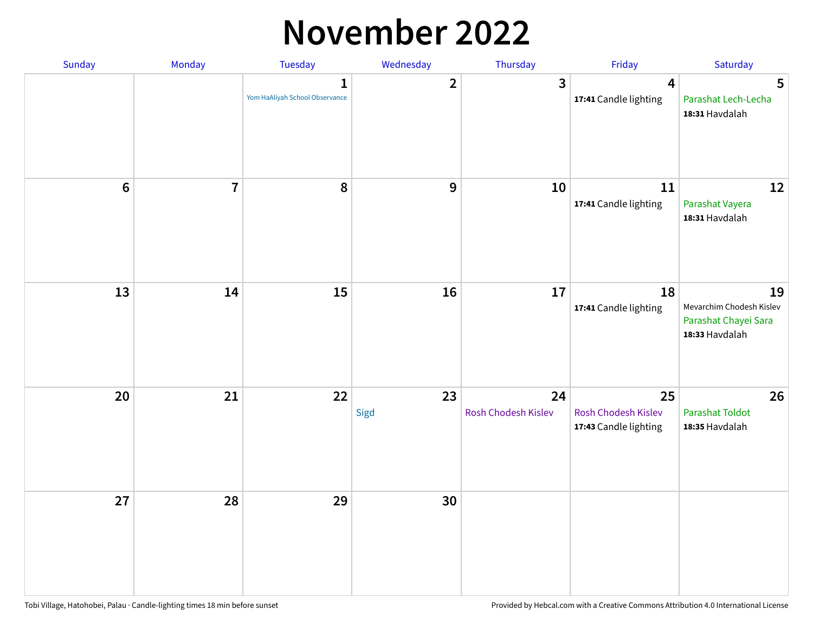### **November 2022**

| Sunday         | Monday                  | <b>Tuesday</b>                                 | Wednesday        | Thursday                  | Friday                                             | Saturday                                                                 |
|----------------|-------------------------|------------------------------------------------|------------------|---------------------------|----------------------------------------------------|--------------------------------------------------------------------------|
|                |                         | $\mathbf{1}$<br>Yom HaAliyah School Observance | $\overline{2}$   | $\mathbf{3}$              | $\overline{\mathbf{4}}$<br>17:41 Candle lighting   | 5<br>Parashat Lech-Lecha<br>18:31 Havdalah                               |
| $6\phantom{1}$ | $\overline{\mathbf{7}}$ | 8                                              | $\boldsymbol{9}$ | 10                        | 11<br>17:41 Candle lighting                        | 12<br>Parashat Vayera<br>18:31 Havdalah                                  |
| 13             | 14                      | 15                                             | 16               | 17                        | 18<br>17:41 Candle lighting                        | 19<br>Mevarchim Chodesh Kislev<br>Parashat Chayei Sara<br>18:33 Havdalah |
| 20             | 21                      | 22                                             | 23<br>Sigd       | 24<br>Rosh Chodesh Kislev | 25<br>Rosh Chodesh Kislev<br>17:43 Candle lighting | 26<br><b>Parashat Toldot</b><br>18:35 Havdalah                           |
| 27             | 28                      | 29                                             | 30               |                           |                                                    |                                                                          |